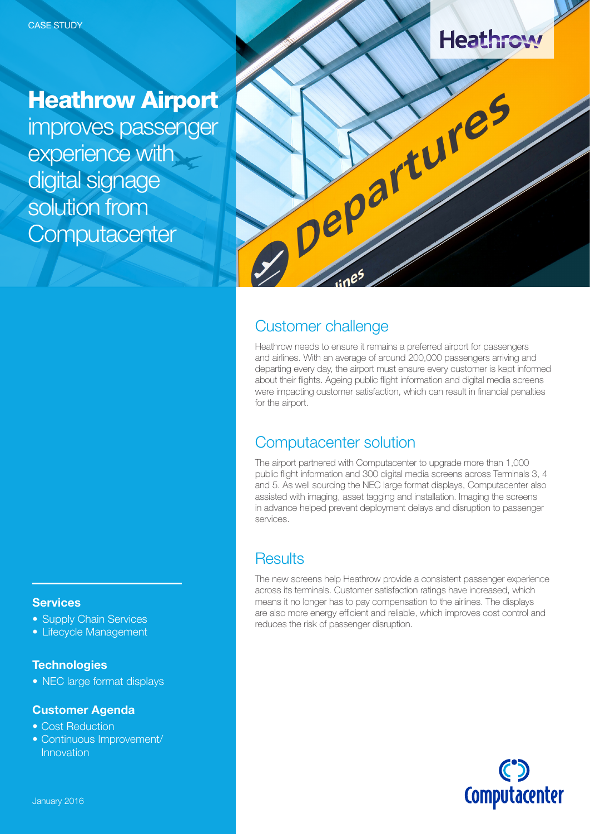# Heathrow Airport

improves passenger experience with digital signage solution from **Computacenter** 



# Customer challenge

Heathrow needs to ensure it remains a preferred airport for passengers and airlines. With an average of around 200,000 passengers arriving and departing every day, the airport must ensure every customer is kept informed about their flights. Ageing public flight information and digital media screens were impacting customer satisfaction, which can result in financial penalties for the airport.

# Computacenter solution

The airport partnered with Computacenter to upgrade more than 1,000 public flight information and 300 digital media screens across Terminals 3, 4 and 5. As well sourcing the NEC large format displays, Computacenter also assisted with imaging, asset tagging and installation. Imaging the screens in advance helped prevent deployment delays and disruption to passenger services.

# **Results**

The new screens help Heathrow provide a consistent passenger experience across its terminals. Customer satisfaction ratings have increased, which means it no longer has to pay compensation to the airlines. The displays are also more energy efficient and reliable, which improves cost control and reduces the risk of passenger disruption.

# $\mathbf{C}$ **Computacenter**

### **Services**

- Supply Chain Services
- Lifecycle Management

### **Technologies**

• NEC large format displays

### Customer Agenda

- Cost Reduction
- Continuous Improvement/ Innovation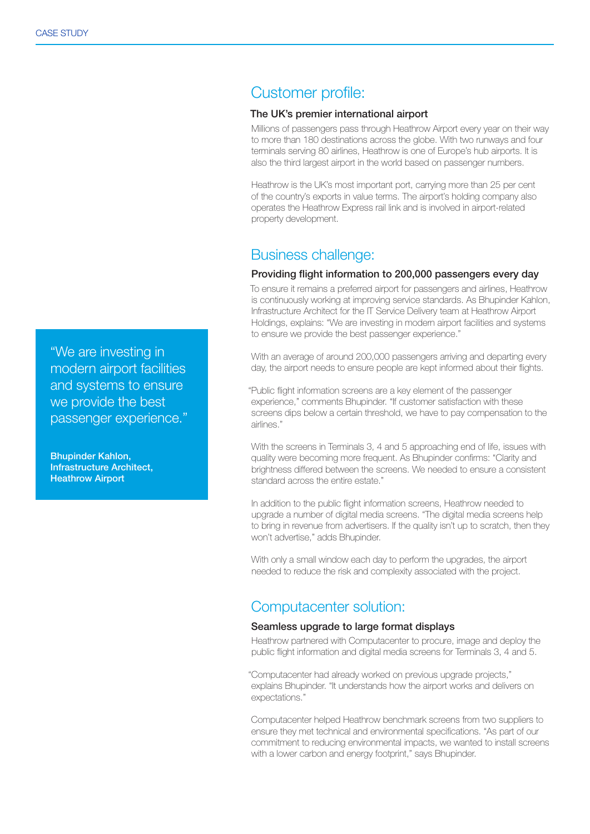"We are investing in modern airport facilities and systems to ensure we provide the best passenger experience."

Bhupinder Kahlon, Infrastructure Architect, Heathrow Airport

## Customer profile:

#### The UK's premier international airport

Millions of passengers pass through Heathrow Airport every year on their way to more than 180 destinations across the globe. With two runways and four terminals serving 80 airlines, Heathrow is one of Europe's hub airports. It is also the third largest airport in the world based on passenger numbers.

Heathrow is the UK's most important port, carrying more than 25 per cent of the country's exports in value terms. The airport's holding company also operates the Heathrow Express rail link and is involved in airport-related property development.

### Business challenge:

#### Providing flight information to 200,000 passengers every day

To ensure it remains a preferred airport for passengers and airlines, Heathrow is continuously working at improving service standards. As Bhupinder Kahlon, Infrastructure Architect for the IT Service Delivery team at Heathrow Airport Holdings, explains: "We are investing in modern airport facilities and systems to ensure we provide the best passenger experience."

With an average of around 200,000 passengers arriving and departing every day, the airport needs to ensure people are kept informed about their flights.

"Public flight information screens are a key element of the passenger experience," comments Bhupinder. "If customer satisfaction with these screens dips below a certain threshold, we have to pay compensation to the airlines."

With the screens in Terminals 3, 4 and 5 approaching end of life, issues with quality were becoming more frequent. As Bhupinder confirms: "Clarity and brightness differed between the screens. We needed to ensure a consistent standard across the entire estate."

In addition to the public flight information screens, Heathrow needed to upgrade a number of digital media screens. "The digital media screens help to bring in revenue from advertisers. If the quality isn't up to scratch, then they won't advertise," adds Bhupinder.

With only a small window each day to perform the upgrades, the airport needed to reduce the risk and complexity associated with the project.

## Computacenter solution:

#### Seamless upgrade to large format displays

Heathrow partnered with Computacenter to procure, image and deploy the public flight information and digital media screens for Terminals 3, 4 and 5.

"Computacenter had already worked on previous upgrade projects," explains Bhupinder. "It understands how the airport works and delivers on expectations."

Computacenter helped Heathrow benchmark screens from two suppliers to ensure they met technical and environmental specifications. "As part of our commitment to reducing environmental impacts, we wanted to install screens with a lower carbon and energy footprint," says Bhupinder.